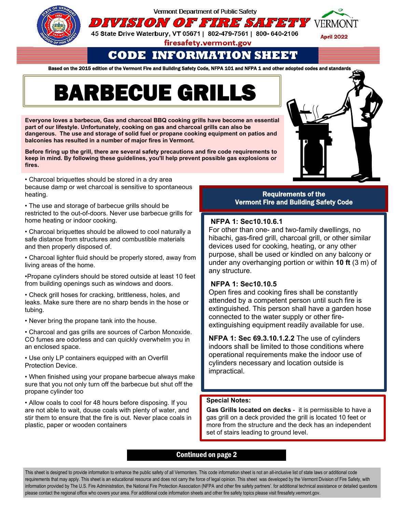

Vermont Department of Public Safety

45 State Drive Waterbury, VT 05671 | 802-479-7561 | 800- 640-2106

firesafety.vermont.gov

**CODE INFORMATION SHEET**

DIVISION OF FIRE SAFETY VERMONT

Based on the 2015 edition of the Vermont Fire and Building Safety Code, NFPA 101 and NFPA 1 and other adopted codes and standards

# **BARBECUE GRILLS**

**Everyone loves a barbecue, Gas and charcoal BBQ cooking grills have become an essential part of our lifestyle. Unfortunately, cooking on gas and charcoal grills can also be dangerous. The use and storage of solid fuel or propane cooking equipment on patios and balconies has resulted in a number of major fires in Vermont.** 

**Before firing up the grill, there are several safety precautions and fire code requirements to keep in mind. By following these guidelines, you'll help prevent possible gas explosions or fires.**

• Charcoal briquettes should be stored in a dry area because damp or wet charcoal is sensitive to spontaneous heating.

• The use and storage of barbecue grills should be restricted to the out-of-doors. Never use barbecue grills for home heating or indoor cooking.

• Charcoal briquettes should be allowed to cool naturally a safe distance from structures and combustible materials and then properly disposed of.

• Charcoal lighter fluid should be properly stored, away from living areas of the home.

•Propane cylinders should be stored outside at least 10 feet from building openings such as windows and doors.

• Check grill hoses for cracking, brittleness, holes, and leaks. Make sure there are no sharp bends in the hose or tubing.

• Never bring the propane tank into the house.

• Charcoal and gas grills are sources of Carbon Monoxide. CO fumes are odorless and can quickly overwhelm you in an enclosed space.

• Use only LP containers equipped with an Overfill Protection Device.

• When finished using your propane barbecue always make sure that you not only turn off the barbecue but shut off the propane cylinder too

• Allow coals to cool for 48 hours before disposing. If you are not able to wait, douse coals with plenty of water, and stir them to ensure that the fire is out. Never place coals in plastic, paper or wooden containers

# Requirements of the

Vermont Fire and Building Safety Code

### **NFPA 1: Sec10.10.6.1**

For other than one- and two-family dwellings, no hibachi, gas-fired grill, charcoal grill, or other similar devices used for cooking, heating, or any other purpose, shall be used or kindled on any balcony or under any overhanging portion or within **10 ft** (3 m) of any structure.

# **NFPA 1: Sec10.10.5**

Open fires and cooking fires shall be constantly attended by a competent person until such fire is extinguished. This person shall have a garden hose connected to the water supply or other fireextinguishing equipment readily available for use.

**NFPA 1: Sec 69.3.10.1.2.2** The use of cylinders indoors shall be limited to those conditions where operational requirements make the indoor use of cylinders necessary and location outside is impractical.

### **Special Notes:**

**Gas Grills located on decks** - it is permissible to have a gas grill on a deck provided the grill is located 10 feet or more from the structure and the deck has an independent set of stairs leading to ground level.

# Continued on page 2

This sheet is designed to provide information to enhance the public safety of all Vermonters. This code information sheet is not an all-inclusive list of state laws or additional code requirements that may apply. This sheet is an educational resource and does not carry the force of legal opinion. This sheet was developed by the Vermont Division of Fire Safety, with information provided by The U.S. Fire Administration, the National Fire Protection Association (NFPA and other fire safety partners'. for additional technical assistance or detailed questions please contact the regional office who covers your area. For additional code information sheets and other fire safety topics please visit firesafety.vermont.gov.



**April 2022**